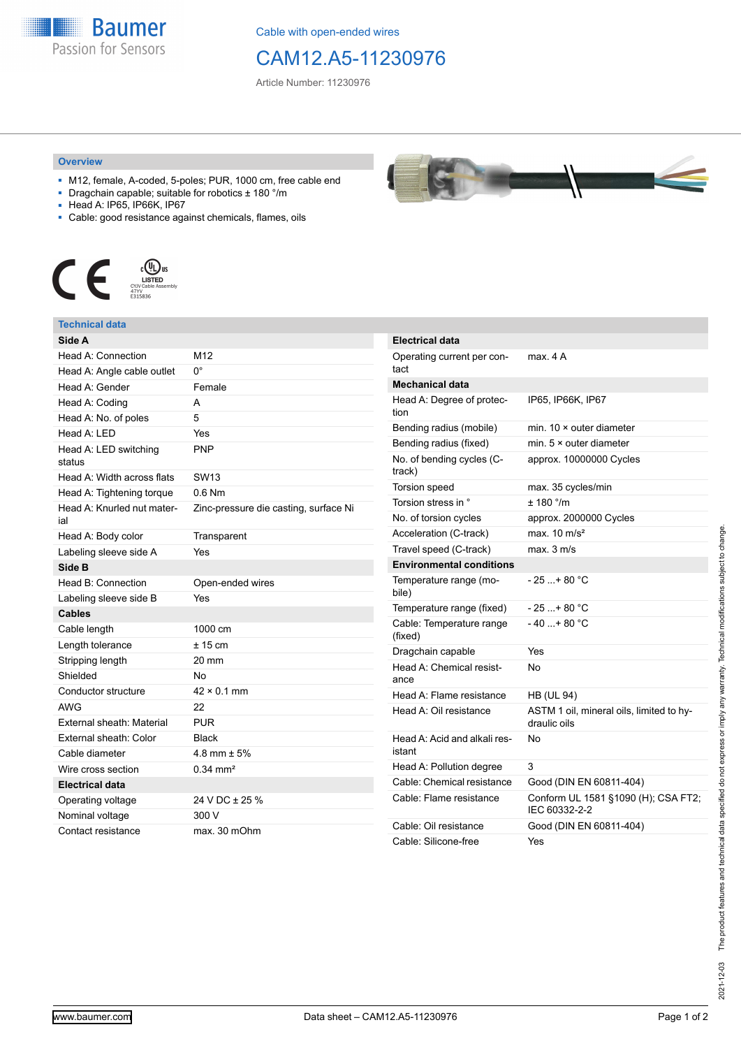**Baumer** Passion for Sensors

Cable with open-ended wires

# CAM12.A5-11230976

Article Number: 11230976

### **Overview**

- M12, female, A-coded, 5-poles; PUR, 1000 cm, free cable end
- Dragchain capable; suitable for robotics ± 180 °/m
- Head A: IP65, IP66K, IP67
- Cable: good resistance against chemicals, flames, oils



## **Technical data**

| Side A                            |                                       |
|-----------------------------------|---------------------------------------|
| Head A: Connection                | M12                                   |
| Head A: Angle cable outlet        | n۰                                    |
| Head A: Gender                    | Female                                |
| Head A: Coding                    | A                                     |
| Head A: No. of poles              | 5                                     |
| Head A: LED                       | Yes                                   |
| Head A: LED switching<br>status   | <b>PNP</b>                            |
| Head A: Width across flats        | <b>SW13</b>                           |
| Head A: Tightening torque         | $0.6$ Nm                              |
| Head A: Knurled nut mater-<br>ial | Zinc-pressure die casting, surface Ni |
| Head A: Body color                | Transparent                           |
| Labeling sleeve side A            | Yes                                   |
| Side B                            |                                       |
| Head B: Connection                | Open-ended wires                      |
| Labeling sleeve side B            | Yes                                   |
| <b>Cables</b>                     |                                       |
| Cable length                      | 1000 cm                               |
| Length tolerance                  | ± 15 cm                               |
| Stripping length                  | 20 mm                                 |
| Shielded                          | No                                    |
| Conductor structure               | $42 \times 0.1$ mm                    |
| <b>AWG</b>                        | 22                                    |
| External sheath: Material         | PUR                                   |
| External sheath: Color            | <b>Black</b>                          |
| Cable diameter                    | 4.8 mm $\pm$ 5%                       |
| Wire cross section                | $0.34 \text{ mm}^2$                   |
| <b>Electrical data</b>            |                                       |
| Operating voltage                 | 24 V DC ± 25 %                        |
| Nominal voltage                   | 300 V                                 |
| Contact resistance                | max. 30 mOhm                          |

| <b>Electrical data</b>                 |                                                          |  |
|----------------------------------------|----------------------------------------------------------|--|
| Operating current per con-<br>tact     | max. 4 A                                                 |  |
| <b>Mechanical data</b>                 |                                                          |  |
| Head A: Degree of protec-<br>tion      | IP65, IP66K, IP67                                        |  |
| Bending radius (mobile)                | min. $10 \times$ outer diameter                          |  |
| Bending radius (fixed)                 | min. $5 \times$ outer diameter                           |  |
| No. of bending cycles (C-<br>track)    | approx. 10000000 Cycles                                  |  |
| <b>Torsion speed</b>                   | max. 35 cycles/min                                       |  |
| Torsion stress in °                    | $± 180$ °/m                                              |  |
| No. of torsion cycles                  | approx. 2000000 Cycles                                   |  |
| Acceleration (C-track)                 | max. $10 \text{ m/s}^2$                                  |  |
| Travel speed (C-track)                 | max. 3 m/s                                               |  |
| <b>Environmental conditions</b>        |                                                          |  |
| Temperature range (mo-<br>bile)        | - 25 + 80 °C                                             |  |
| Temperature range (fixed)              | - 25 + 80 °C                                             |  |
| Cable: Temperature range<br>(fixed)    | $-40+80 °C$                                              |  |
| Dragchain capable                      | Yes                                                      |  |
| Head A: Chemical resist-<br>ance       | No                                                       |  |
| Head A: Flame resistance               | <b>HB (UL 94)</b>                                        |  |
| Head A: Oil resistance                 | ASTM 1 oil, mineral oils, limited to hy-<br>draulic oils |  |
| Head A: Acid and alkali res-<br>istant | No                                                       |  |
| Head A: Pollution degree               | 3                                                        |  |
| Cable: Chemical resistance             | Good (DIN EN 60811-404)                                  |  |
| Cable: Flame resistance                | Conform UL 1581 §1090 (H); CSA FT2;<br>IEC 60332-2-2     |  |
| Cable: Oil resistance                  | Good (DIN EN 60811-404)                                  |  |
| Cable: Silicone-free                   | Yes                                                      |  |